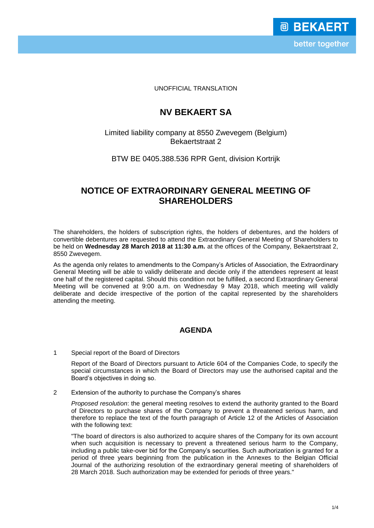UNOFFICIAL TRANSLATION

# **NV BEKAERT SA**

## Limited liability company at 8550 Zwevegem (Belgium) Bekaertstraat 2

### BTW BE 0405.388.536 RPR Gent, division Kortrijk

## **NOTICE OF EXTRAORDINARY GENERAL MEETING OF SHAREHOLDERS**

The shareholders, the holders of subscription rights, the holders of debentures, and the holders of convertible debentures are requested to attend the Extraordinary General Meeting of Shareholders to be held on **Wednesday 28 March 2018 at 11:30 a.m.** at the offices of the Company, Bekaertstraat 2, 8550 Zwevegem.

As the agenda only relates to amendments to the Company's Articles of Association, the Extraordinary General Meeting will be able to validly deliberate and decide only if the attendees represent at least one half of the registered capital. Should this condition not be fulfilled, a second Extraordinary General Meeting will be convened at 9:00 a.m. on Wednesday 9 May 2018, which meeting will validly deliberate and decide irrespective of the portion of the capital represented by the shareholders attending the meeting.

#### **AGENDA**

1 Special report of the Board of Directors

Report of the Board of Directors pursuant to Article 604 of the Companies Code, to specify the special circumstances in which the Board of Directors may use the authorised capital and the Board's objectives in doing so.

2 Extension of the authority to purchase the Company's shares

*Proposed resolution*: the general meeting resolves to extend the authority granted to the Board of Directors to purchase shares of the Company to prevent a threatened serious harm, and therefore to replace the text of the fourth paragraph of Article 12 of the Articles of Association with the following text:

"The board of directors is also authorized to acquire shares of the Company for its own account when such acquisition is necessary to prevent a threatened serious harm to the Company, including a public take-over bid for the Company's securities. Such authorization is granted for a period of three years beginning from the publication in the Annexes to the Belgian Official Journal of the authorizing resolution of the extraordinary general meeting of shareholders of 28 March 2018. Such authorization may be extended for periods of three years."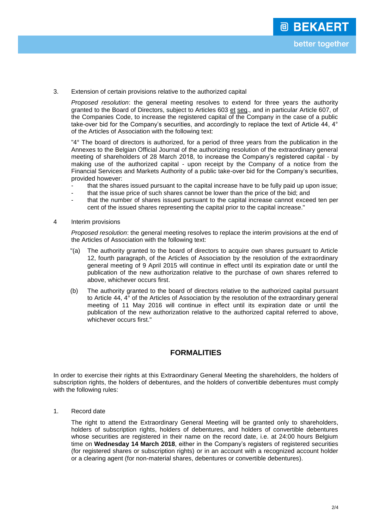3. Extension of certain provisions relative to the authorized capital

*Proposed resolution*: the general meeting resolves to extend for three years the authority granted to the Board of Directors, subject to Articles 603 et seq., and in particular Article 607, of the Companies Code, to increase the registered capital of the Company in the case of a public take-over bid for the Company's securities, and accordingly to replace the text of Article 44, 4° of the Articles of Association with the following text:

"4° The board of directors is authorized, for a period of three years from the publication in the Annexes to the Belgian Official Journal of the authorizing resolution of the extraordinary general meeting of shareholders of 28 March 2018, to increase the Company's registered capital - by making use of the authorized capital - upon receipt by the Company of a notice from the Financial Services and Markets Authority of a public take-over bid for the Company's securities, provided however:

- that the shares issued pursuant to the capital increase have to be fully paid up upon issue;
- that the issue price of such shares cannot be lower than the price of the bid; and
- that the number of shares issued pursuant to the capital increase cannot exceed ten per cent of the issued shares representing the capital prior to the capital increase."
- 4 Interim provisions

*Proposed resolution*: the general meeting resolves to replace the interim provisions at the end of the Articles of Association with the following text:

- "(a) The authority granted to the board of directors to acquire own shares pursuant to Article 12, fourth paragraph, of the Articles of Association by the resolution of the extraordinary general meeting of 9 April 2015 will continue in effect until its expiration date or until the publication of the new authorization relative to the purchase of own shares referred to above, whichever occurs first.
- (b) The authority granted to the board of directors relative to the authorized capital pursuant to Article 44, 4° of the Articles of Association by the resolution of the extraordinary general meeting of 11 May 2016 will continue in effect until its expiration date or until the publication of the new authorization relative to the authorized capital referred to above, whichever occurs first."

### **FORMALITIES**

In order to exercise their rights at this Extraordinary General Meeting the shareholders, the holders of subscription rights, the holders of debentures, and the holders of convertible debentures must comply with the following rules:

1. Record date

The right to attend the Extraordinary General Meeting will be granted only to shareholders, holders of subscription rights, holders of debentures, and holders of convertible debentures whose securities are registered in their name on the record date, i.e. at 24:00 hours Belgium time on **Wednesday 14 March 2018**, either in the Company's registers of registered securities (for registered shares or subscription rights) or in an account with a recognized account holder or a clearing agent (for non-material shares, debentures or convertible debentures).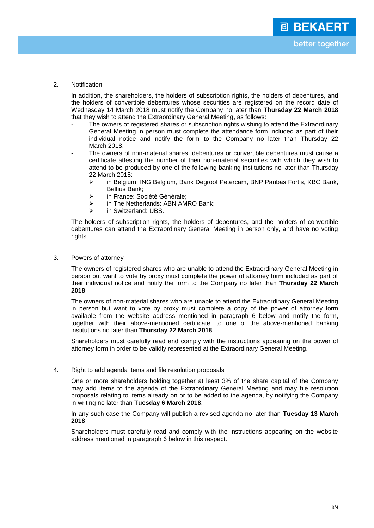2. Notification

In addition, the shareholders, the holders of subscription rights, the holders of debentures, and the holders of convertible debentures whose securities are registered on the record date of Wednesday 14 March 2018 must notify the Company no later than **Thursday 22 March 2018** that they wish to attend the Extraordinary General Meeting, as follows:

- The owners of registered shares or subscription rights wishing to attend the Extraordinary General Meeting in person must complete the attendance form included as part of their individual notice and notify the form to the Company no later than Thursday 22 March 2018.
- The owners of non-material shares, debentures or convertible debentures must cause a certificate attesting the number of their non-material securities with which they wish to attend to be produced by one of the following banking institutions no later than Thursday 22 March 2018:
	- in Belgium: ING Belgium, Bank Degroof Petercam, BNP Paribas Fortis, KBC Bank, Belfius Bank;
	- > in France: Société Générale:
	- > in The Netherlands: ABN AMRO Bank;
	- > in Switzerland: UBS.

The holders of subscription rights, the holders of debentures, and the holders of convertible debentures can attend the Extraordinary General Meeting in person only, and have no voting rights.

3. Powers of attorney

The owners of registered shares who are unable to attend the Extraordinary General Meeting in person but want to vote by proxy must complete the power of attorney form included as part of their individual notice and notify the form to the Company no later than **Thursday 22 March 2018**.

The owners of non-material shares who are unable to attend the Extraordinary General Meeting in person but want to vote by proxy must complete a copy of the power of attorney form available from the website address mentioned in paragraph 6 below and notify the form, together with their above-mentioned certificate, to one of the above-mentioned banking institutions no later than **Thursday 22 March 2018**.

Shareholders must carefully read and comply with the instructions appearing on the power of attorney form in order to be validly represented at the Extraordinary General Meeting.

4. Right to add agenda items and file resolution proposals

One or more shareholders holding together at least 3% of the share capital of the Company may add items to the agenda of the Extraordinary General Meeting and may file resolution proposals relating to items already on or to be added to the agenda, by notifying the Company in writing no later than **Tuesday 6 March 2018**.

In any such case the Company will publish a revised agenda no later than **Tuesday 13 March 2018**.

Shareholders must carefully read and comply with the instructions appearing on the website address mentioned in paragraph 6 below in this respect.